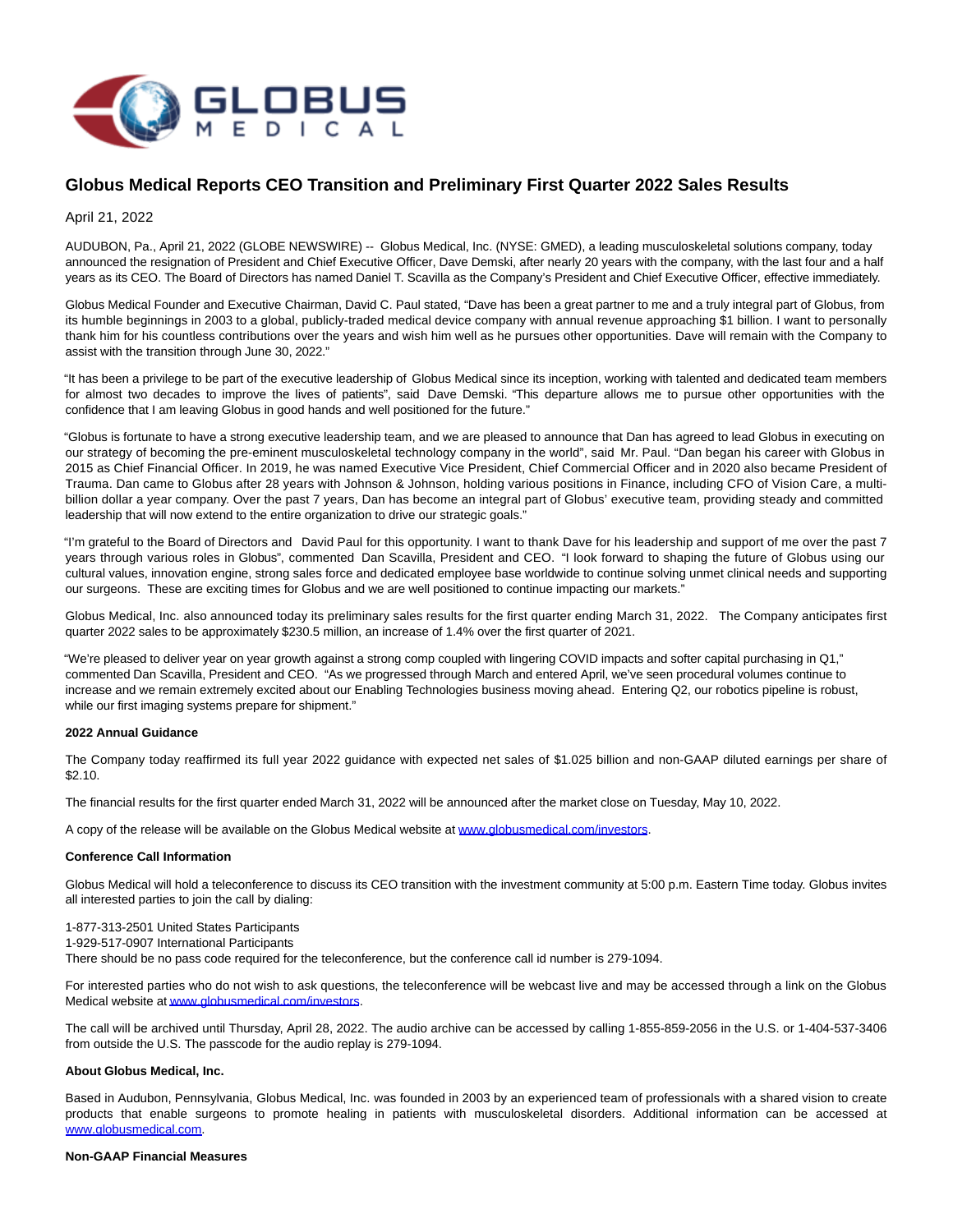

# **Globus Medical Reports CEO Transition and Preliminary First Quarter 2022 Sales Results**

April 21, 2022

AUDUBON, Pa., April 21, 2022 (GLOBE NEWSWIRE) -- Globus Medical, Inc. (NYSE: GMED), a leading musculoskeletal solutions company, today announced the resignation of President and Chief Executive Officer, Dave Demski, after nearly 20 years with the company, with the last four and a half years as its CEO. The Board of Directors has named Daniel T. Scavilla as the Company's President and Chief Executive Officer, effective immediately.

Globus Medical Founder and Executive Chairman, David C. Paul stated, "Dave has been a great partner to me and a truly integral part of Globus, from its humble beginnings in 2003 to a global, publicly-traded medical device company with annual revenue approaching \$1 billion. I want to personally thank him for his countless contributions over the years and wish him well as he pursues other opportunities. Dave will remain with the Company to assist with the transition through June 30, 2022."

"It has been a privilege to be part of the executive leadership of Globus Medical since its inception, working with talented and dedicated team members for almost two decades to improve the lives of patients", said Dave Demski. "This departure allows me to pursue other opportunities with the confidence that I am leaving Globus in good hands and well positioned for the future."

"Globus is fortunate to have a strong executive leadership team, and we are pleased to announce that Dan has agreed to lead Globus in executing on our strategy of becoming the pre-eminent musculoskeletal technology company in the world", said Mr. Paul. "Dan began his career with Globus in 2015 as Chief Financial Officer. In 2019, he was named Executive Vice President, Chief Commercial Officer and in 2020 also became President of Trauma. Dan came to Globus after 28 years with Johnson & Johnson, holding various positions in Finance, including CFO of Vision Care, a multibillion dollar a year company. Over the past 7 years, Dan has become an integral part of Globus' executive team, providing steady and committed leadership that will now extend to the entire organization to drive our strategic goals."

"I'm grateful to the Board of Directors and David Paul for this opportunity. I want to thank Dave for his leadership and support of me over the past 7 years through various roles in Globus", commented Dan Scavilla, President and CEO. "I look forward to shaping the future of Globus using our cultural values, innovation engine, strong sales force and dedicated employee base worldwide to continue solving unmet clinical needs and supporting our surgeons. These are exciting times for Globus and we are well positioned to continue impacting our markets."

Globus Medical, Inc. also announced today its preliminary sales results for the first quarter ending March 31, 2022. The Company anticipates first quarter 2022 sales to be approximately \$230.5 million, an increase of 1.4% over the first quarter of 2021.

"We're pleased to deliver year on year growth against a strong comp coupled with lingering COVID impacts and softer capital purchasing in Q1," commented Dan Scavilla, President and CEO. "As we progressed through March and entered April, we've seen procedural volumes continue to increase and we remain extremely excited about our Enabling Technologies business moving ahead. Entering Q2, our robotics pipeline is robust, while our first imaging systems prepare for shipment."

## **2022 Annual Guidance**

The Company today reaffirmed its full year 2022 guidance with expected net sales of \$1.025 billion and non-GAAP diluted earnings per share of \$2.10.

The financial results for the first quarter ended March 31, 2022 will be announced after the market close on Tuesday, May 10, 2022.

A copy of the release will be available on the Globus Medical website at [www.globusmedical.com/investors.](https://www.globenewswire.com/Tracker?data=sicfubPqipMBs91Xi8G4SsFnngKfP5KBdfPGF781T4PDykINTs_YfB49BqCP8rqXHIPmaF7mlZSpibbJwS0Ux44fXF2PjGB9sn0NqfslMTKPKrfirhd4rTUj5AaHz9oJ)

## **Conference Call Information**

Globus Medical will hold a teleconference to discuss its CEO transition with the investment community at 5:00 p.m. Eastern Time today. Globus invites all interested parties to join the call by dialing:

1-877-313-2501 United States Participants

1-929-517-0907 International Participants

There should be no pass code required for the teleconference, but the conference call id number is 279-1094.

For interested parties who do not wish to ask questions, the teleconference will be webcast live and may be accessed through a link on the Globus Medical website a[t www.globusmedical.com/investors.](http://www.globusmedical.com/investors)

The call will be archived until Thursday, April 28, 2022. The audio archive can be accessed by calling 1-855-859-2056 in the U.S. or 1-404-537-3406 from outside the U.S. The passcode for the audio replay is 279-1094.

#### **About Globus Medical, Inc.**

Based in Audubon, Pennsylvania, Globus Medical, Inc. was founded in 2003 by an experienced team of professionals with a shared vision to create products that enable surgeons to promote healing in patients with musculoskeletal disorders. Additional information can be accessed at [www.globusmedical.com.](https://www.globenewswire.com/Tracker?data=sicfubPqipMBs91Xi8G4SutipPa-GyVN683CyeR7R79vBi0tzQS-yM9RwGX5j7OFmHFs_HVG07s6VFLBBhBitwQvy-HU90Hz4NbBULF5MPE=)

#### **Non-GAAP Financial Measures**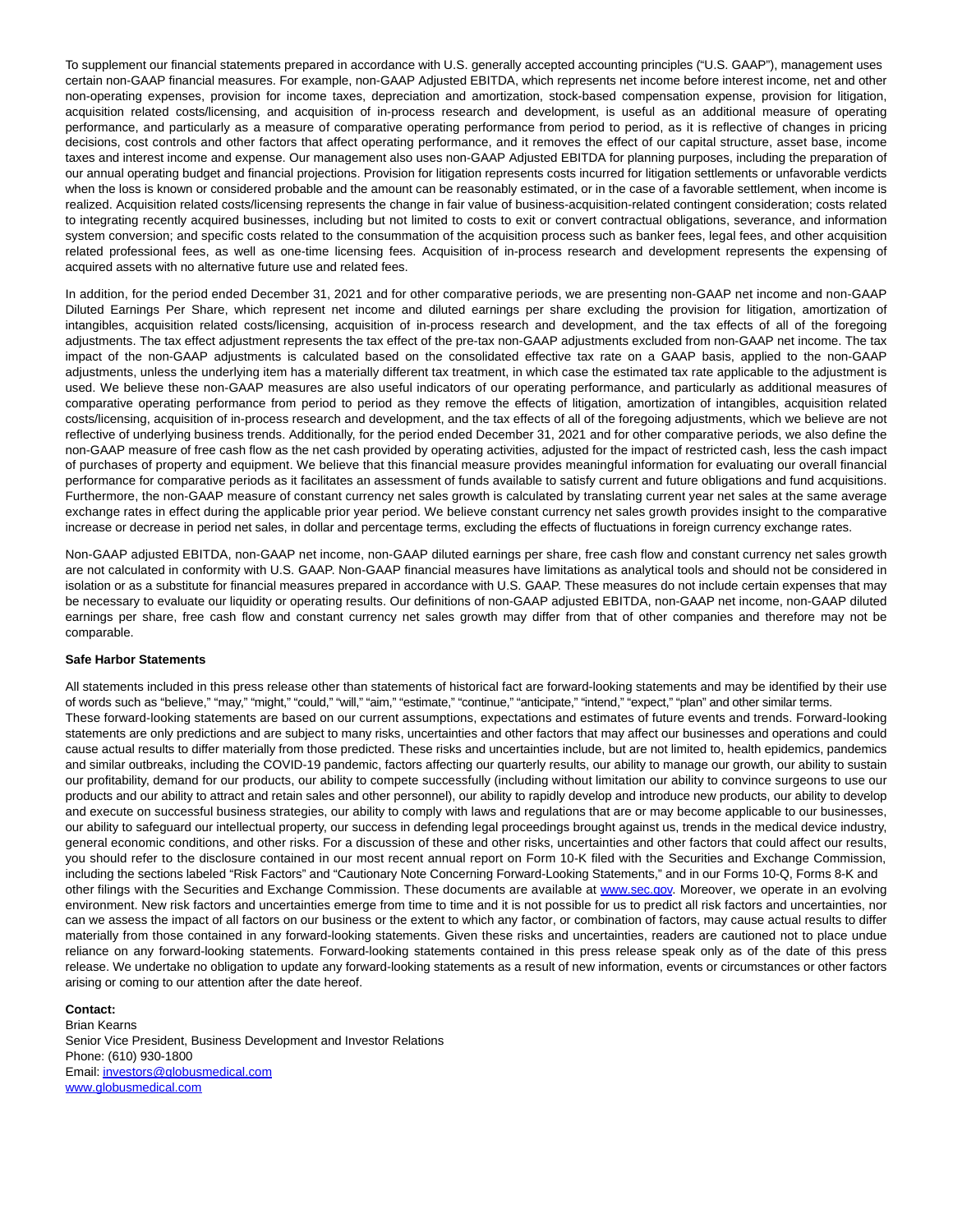To supplement our financial statements prepared in accordance with U.S. generally accepted accounting principles ("U.S. GAAP"), management uses certain non-GAAP financial measures. For example, non-GAAP Adjusted EBITDA, which represents net income before interest income, net and other non-operating expenses, provision for income taxes, depreciation and amortization, stock-based compensation expense, provision for litigation, acquisition related costs/licensing, and acquisition of in-process research and development, is useful as an additional measure of operating performance, and particularly as a measure of comparative operating performance from period to period, as it is reflective of changes in pricing decisions, cost controls and other factors that affect operating performance, and it removes the effect of our capital structure, asset base, income taxes and interest income and expense. Our management also uses non-GAAP Adjusted EBITDA for planning purposes, including the preparation of our annual operating budget and financial projections. Provision for litigation represents costs incurred for litigation settlements or unfavorable verdicts when the loss is known or considered probable and the amount can be reasonably estimated, or in the case of a favorable settlement, when income is realized. Acquisition related costs/licensing represents the change in fair value of business-acquisition-related contingent consideration; costs related to integrating recently acquired businesses, including but not limited to costs to exit or convert contractual obligations, severance, and information system conversion; and specific costs related to the consummation of the acquisition process such as banker fees, legal fees, and other acquisition related professional fees, as well as one-time licensing fees. Acquisition of in-process research and development represents the expensing of acquired assets with no alternative future use and related fees.

In addition, for the period ended December 31, 2021 and for other comparative periods, we are presenting non-GAAP net income and non-GAAP Diluted Earnings Per Share, which represent net income and diluted earnings per share excluding the provision for litigation, amortization of intangibles, acquisition related costs/licensing, acquisition of in-process research and development, and the tax effects of all of the foregoing adjustments. The tax effect adjustment represents the tax effect of the pre-tax non-GAAP adjustments excluded from non-GAAP net income. The tax impact of the non-GAAP adjustments is calculated based on the consolidated effective tax rate on a GAAP basis, applied to the non-GAAP adjustments, unless the underlying item has a materially different tax treatment, in which case the estimated tax rate applicable to the adjustment is used. We believe these non-GAAP measures are also useful indicators of our operating performance, and particularly as additional measures of comparative operating performance from period to period as they remove the effects of litigation, amortization of intangibles, acquisition related costs/licensing, acquisition of in-process research and development, and the tax effects of all of the foregoing adjustments, which we believe are not reflective of underlying business trends. Additionally, for the period ended December 31, 2021 and for other comparative periods, we also define the non-GAAP measure of free cash flow as the net cash provided by operating activities, adjusted for the impact of restricted cash, less the cash impact of purchases of property and equipment. We believe that this financial measure provides meaningful information for evaluating our overall financial performance for comparative periods as it facilitates an assessment of funds available to satisfy current and future obligations and fund acquisitions. Furthermore, the non-GAAP measure of constant currency net sales growth is calculated by translating current year net sales at the same average exchange rates in effect during the applicable prior year period. We believe constant currency net sales growth provides insight to the comparative increase or decrease in period net sales, in dollar and percentage terms, excluding the effects of fluctuations in foreign currency exchange rates.

Non-GAAP adjusted EBITDA, non-GAAP net income, non-GAAP diluted earnings per share, free cash flow and constant currency net sales growth are not calculated in conformity with U.S. GAAP. Non-GAAP financial measures have limitations as analytical tools and should not be considered in isolation or as a substitute for financial measures prepared in accordance with U.S. GAAP. These measures do not include certain expenses that may be necessary to evaluate our liquidity or operating results. Our definitions of non-GAAP adjusted EBITDA, non-GAAP net income, non-GAAP diluted earnings per share, free cash flow and constant currency net sales growth may differ from that of other companies and therefore may not be comparable.

#### **Safe Harbor Statements**

All statements included in this press release other than statements of historical fact are forward-looking statements and may be identified by their use of words such as "believe," "may," "might," "could," "will," "aim," "estimate," "continue," "anticipate," "intend," "expect," "plan" and other similar terms. These forward-looking statements are based on our current assumptions, expectations and estimates of future events and trends. Forward-looking statements are only predictions and are subject to many risks, uncertainties and other factors that may affect our businesses and operations and could cause actual results to differ materially from those predicted. These risks and uncertainties include, but are not limited to, health epidemics, pandemics and similar outbreaks, including the COVID-19 pandemic, factors affecting our quarterly results, our ability to manage our growth, our ability to sustain our profitability, demand for our products, our ability to compete successfully (including without limitation our ability to convince surgeons to use our products and our ability to attract and retain sales and other personnel), our ability to rapidly develop and introduce new products, our ability to develop and execute on successful business strategies, our ability to comply with laws and regulations that are or may become applicable to our businesses, our ability to safeguard our intellectual property, our success in defending legal proceedings brought against us, trends in the medical device industry, general economic conditions, and other risks. For a discussion of these and other risks, uncertainties and other factors that could affect our results, you should refer to the disclosure contained in our most recent annual report on Form 10-K filed with the Securities and Exchange Commission, including the sections labeled "Risk Factors" and "Cautionary Note Concerning Forward-Looking Statements," and in our Forms 10-Q, Forms 8-K and other filings with the Securities and Exchange Commission. These documents are available at [www.sec.gov.](http://www.sec.gov/) Moreover, we operate in an evolving environment. New risk factors and uncertainties emerge from time to time and it is not possible for us to predict all risk factors and uncertainties, nor can we assess the impact of all factors on our business or the extent to which any factor, or combination of factors, may cause actual results to differ materially from those contained in any forward-looking statements. Given these risks and uncertainties, readers are cautioned not to place undue reliance on any forward-looking statements. Forward-looking statements contained in this press release speak only as of the date of this press release. We undertake no obligation to update any forward-looking statements as a result of new information, events or circumstances or other factors arising or coming to our attention after the date hereof.

### **Contact:**

Brian Kearns Senior Vice President, Business Development and Investor Relations Phone: (610) 930-1800 Email[: investors@globusmedical.com](mailto:investors@globusmedical.com) [www.globusmedical.com](http://www.globusmedical.com/)